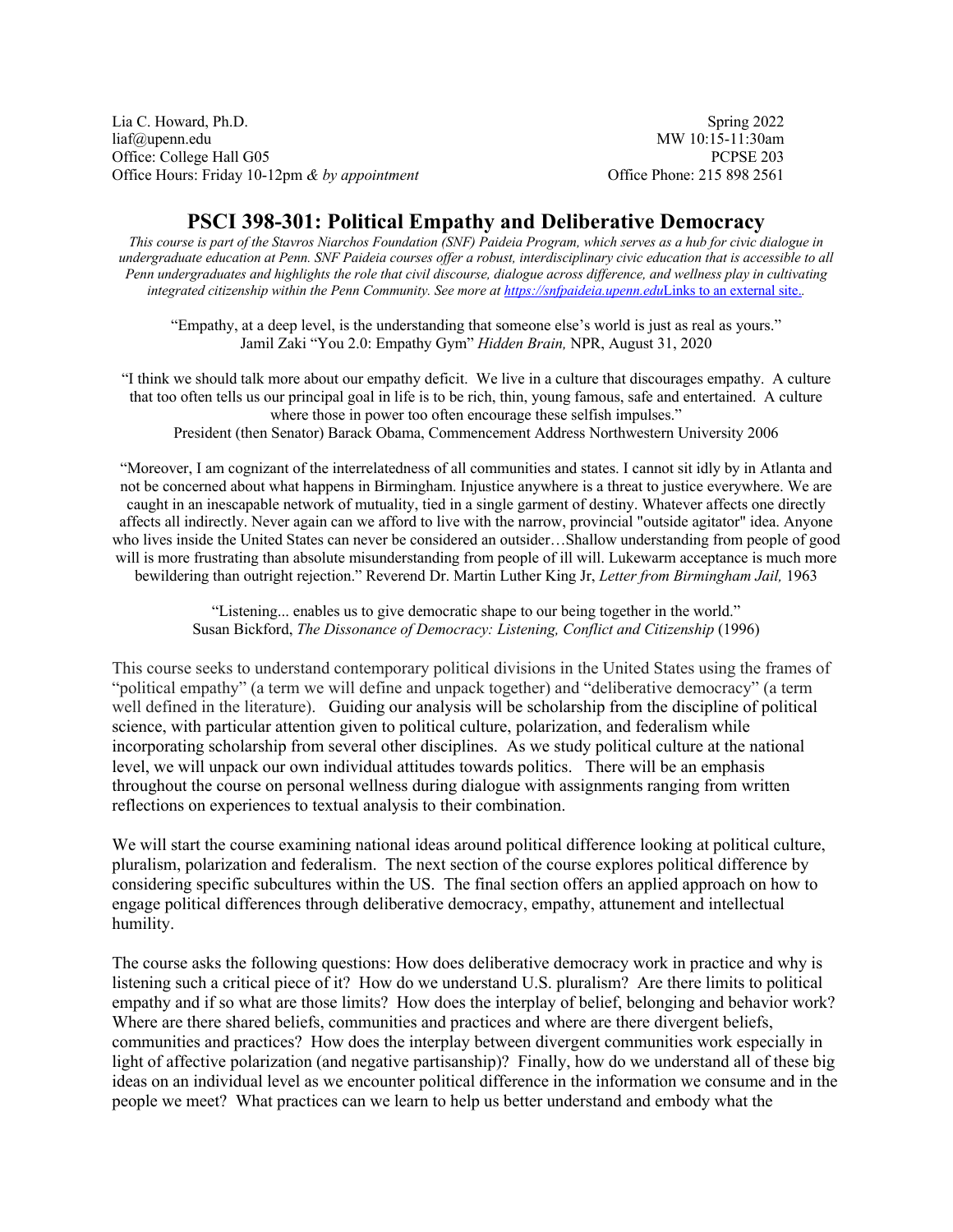Lia C. Howard, Ph.D. Spring 2022 liaf@upenn.edu MW 10:15-11:30am Office: College Hall G05 PCPSE 203 Office Hours: Friday 10-12pm & by appointment Office Phone: 215 898 2561

# **PSCI 398-301: Political Empathy and Deliberative Democracy**

*This course is part of the Stavros Niarchos Foundation (SNF) Paideia Program, which serves as a hub for civic dialogue in undergraduate education at Penn. SNF Paideia courses offer a robust, interdisciplinary civic education that is accessible to all Penn undergraduates and highlights the role that civil discourse, dialogue across difference, and wellness play in cultivating integrated citizenship within the Penn Community. See more at [https://snfpaideia.upenn.edu](https://snfpaideia.upenn.edu/)Links to an external site..* 

"Empathy, at a deep level, is the understanding that someone else's world is just as real as yours." Jamil Zaki "You 2.0: Empathy Gym" *Hidden Brain,* NPR, August 31, 2020

"I think we should talk more about our empathy deficit. We live in a culture that discourages empathy. A culture that too often tells us our principal goal in life is to be rich, thin, young famous, safe and entertained. A culture where those in power too often encourage these selfish impulses." President (then Senator) Barack Obama, Commencement Address Northwestern University 2006

"Moreover, I am cognizant of the interrelatedness of all communities and states. I cannot sit idly by in Atlanta and not be concerned about what happens in Birmingham. Injustice anywhere is a threat to justice everywhere. We are caught in an inescapable network of mutuality, tied in a single garment of destiny. Whatever affects one directly affects all indirectly. Never again can we afford to live with the narrow, provincial "outside agitator" idea. Anyone who lives inside the United States can never be considered an outsider…Shallow understanding from people of good will is more frustrating than absolute misunderstanding from people of ill will. Lukewarm acceptance is much more bewildering than outright rejection." Reverend Dr. Martin Luther King Jr, *Letter from Birmingham Jail,* 1963

> "Listening... enables us to give democratic shape to our being together in the world." Susan Bickford, *The Dissonance of Democracy: Listening, Conflict and Citizenship* (1996)

This course seeks to understand contemporary political divisions in the United States using the frames of "political empathy" (a term we will define and unpack together) and "deliberative democracy" (a term well defined in the literature). Guiding our analysis will be scholarship from the discipline of political science, with particular attention given to political culture, polarization, and federalism while incorporating scholarship from several other disciplines. As we study political culture at the national level, we will unpack our own individual attitudes towards politics. There will be an emphasis throughout the course on personal wellness during dialogue with assignments ranging from written reflections on experiences to textual analysis to their combination.

We will start the course examining national ideas around political difference looking at political culture, pluralism, polarization and federalism. The next section of the course explores political difference by considering specific subcultures within the US. The final section offers an applied approach on how to engage political differences through deliberative democracy, empathy, attunement and intellectual humility.

The course asks the following questions: How does deliberative democracy work in practice and why is listening such a critical piece of it? How do we understand U.S. pluralism? Are there limits to political empathy and if so what are those limits? How does the interplay of belief, belonging and behavior work? Where are there shared beliefs, communities and practices and where are there divergent beliefs, communities and practices? How does the interplay between divergent communities work especially in light of affective polarization (and negative partisanship)? Finally, how do we understand all of these big ideas on an individual level as we encounter political difference in the information we consume and in the people we meet? What practices can we learn to help us better understand and embody what the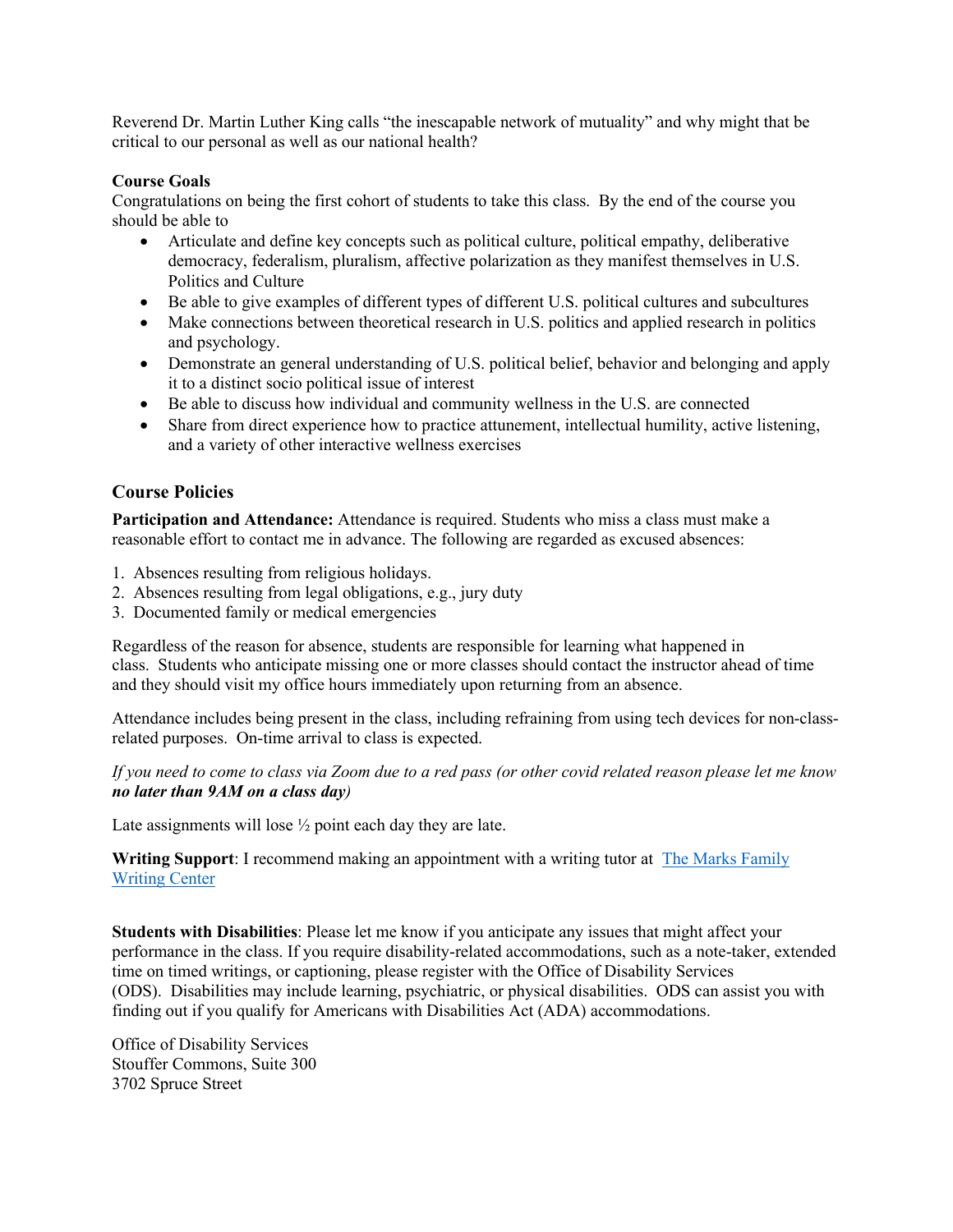Reverend Dr. Martin Luther King calls "the inescapable network of mutuality" and why might that be critical to our personal as well as our national health?

## **Course Goals**

Congratulations on being the first cohort of students to take this class. By the end of the course you should be able to

- Articulate and define key concepts such as political culture, political empathy, deliberative democracy, federalism, pluralism, affective polarization as they manifest themselves in U.S. Politics and Culture
- Be able to give examples of different types of different U.S. political cultures and subcultures
- Make connections between theoretical research in U.S. politics and applied research in politics and psychology.
- Demonstrate an general understanding of U.S. political belief, behavior and belonging and apply it to a distinct socio political issue of interest
- Be able to discuss how individual and community wellness in the U.S. are connected
- Share from direct experience how to practice attunement, intellectual humility, active listening, and a variety of other interactive wellness exercises

# **Course Policies**

**Participation and Attendance:** Attendance is required. Students who miss a class must make a reasonable effort to contact me in advance. The following are regarded as excused absences:

- 1. Absences resulting from religious holidays.
- 2. Absences resulting from legal obligations, e.g., jury duty
- 3. Documented family or medical emergencies

Regardless of the reason for absence, students are responsible for learning what happened in class. Students who anticipate missing one or more classes should contact the instructor ahead of time and they should visit my office hours immediately upon returning from an absence.

Attendance includes being present in the class, including refraining from using tech devices for non-classrelated purposes. On-time arrival to class is expected.

*If you need to come to class via Zoom due to a red pass (or other covid related reason please let me know no later than 9AM on a class day)*

Late assignments will lose  $\frac{1}{2}$  point each day they are late.

**Writing Support**: I recommend making an appointment with a writing tutor at [The Marks Family](http://writing.upenn.edu/critical/wc/schedule_appointment.php) [Writing Center](http://writing.upenn.edu/critical/wc/schedule_appointment.php)

**Students with Disabilities**: Please let me know if you anticipate any issues that might affect your performance in the class. If you require disability-related accommodations, such as a note-taker, extended time on timed writings, or captioning, please register with the Office of Disability Services (ODS). Disabilities may include learning, psychiatric, or physical disabilities. ODS can assist you with finding out if you qualify for Americans with Disabilities Act (ADA) accommodations.

Office of Disability Services Stouffer Commons, Suite 300 3702 Spruce Street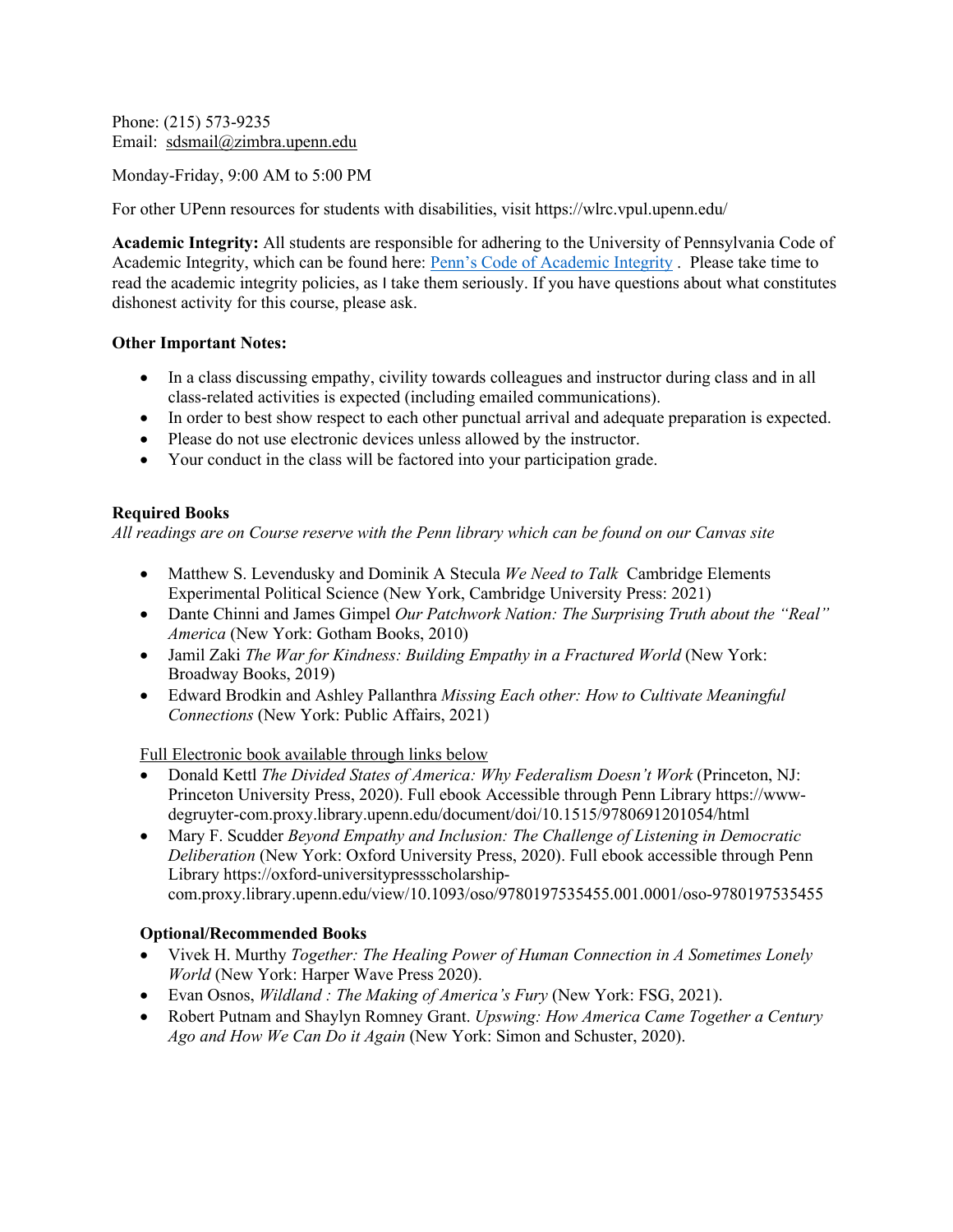Phone: (215) 573-9235 Email: [sdsmail@zimbra.upenn.edu](mailto:sdsmail@zimbra.upenn.edu)

Monday-Friday, 9:00 AM to 5:00 PM

For other UPenn resources for students with disabilities, visit https://wlrc.vpul.upenn.edu/

**Academic Integrity:** All students are responsible for adhering to the University of Pennsylvania Code of Academic Integrity, which can be found here: [Penn's Code of Academic Integrity](https://catalog.upenn.edu/pennbook/code-of-academic-integrity/) . Please take time to read the academic integrity policies, as I take them seriously. If you have questions about what constitutes dishonest activity for this course, please ask.

#### **Other Important Notes:**

- In a class discussing empathy, civility towards colleagues and instructor during class and in all class-related activities is expected (including emailed communications).
- In order to best show respect to each other punctual arrival and adequate preparation is expected.
- Please do not use electronic devices unless allowed by the instructor.
- Your conduct in the class will be factored into your participation grade.

## **Required Books**

*All readings are on Course reserve with the Penn library which can be found on our Canvas site*

- Matthew S. Levendusky and Dominik A Stecula *We Need to Talk* Cambridge Elements Experimental Political Science (New York, Cambridge University Press: 2021)
- Dante Chinni and James Gimpel *Our Patchwork Nation: The Surprising Truth about the "Real" America* (New York: Gotham Books, 2010)
- Jamil Zaki *The War for Kindness: Building Empathy in a Fractured World* (New York: Broadway Books, 2019)
- Edward Brodkin and Ashley Pallanthra *Missing Each other: How to Cultivate Meaningful Connections* (New York: Public Affairs, 2021)

Full Electronic book available through links below

- Donald Kettl *The Divided States of America: Why Federalism Doesn't Work* (Princeton, NJ: Princeton University Press, 2020). Full ebook Accessible through Penn Library https://wwwdegruyter-com.proxy.library.upenn.edu/document/doi/10.1515/9780691201054/html
- Mary F. Scudder *Beyond Empathy and Inclusion: The Challenge of Listening in Democratic Deliberation* (New York: Oxford University Press, 2020). Full ebook accessible through Penn Library https://oxford-universitypressscholarshipcom.proxy.library.upenn.edu/view/10.1093/oso/9780197535455.001.0001/oso-9780197535455

## **Optional/Recommended Books**

- Vivek H. Murthy *Together: The Healing Power of Human Connection in A Sometimes Lonely World* (New York: Harper Wave Press 2020).
- Evan Osnos, *Wildland : The Making of America's Fury* (New York: FSG, 2021).
- Robert Putnam and Shaylyn Romney Grant. *Upswing: How America Came Together a Century Ago and How We Can Do it Again* (New York: Simon and Schuster, 2020).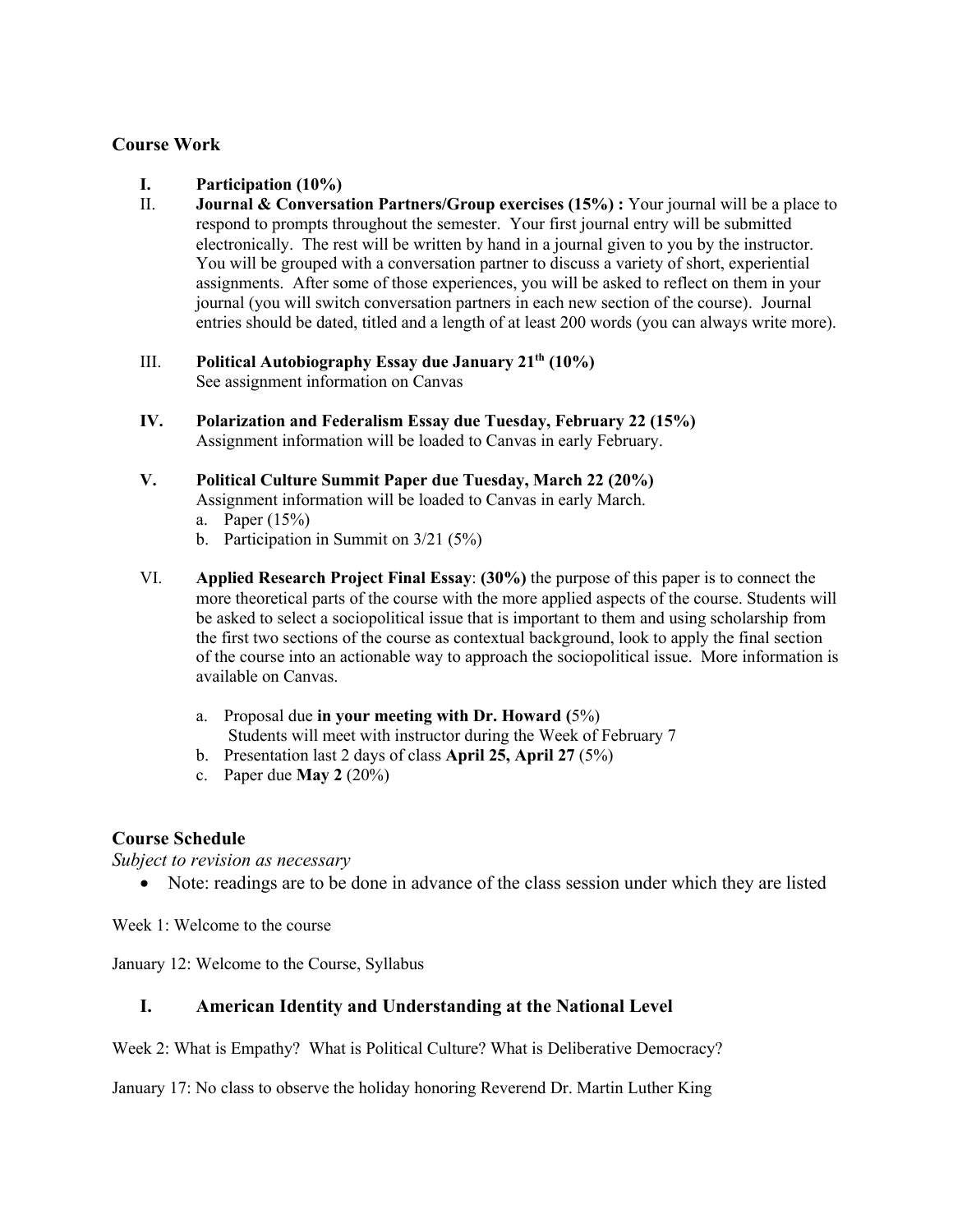# **Course Work**

- **I. Participation (10%)**
- II. **Journal & Conversation Partners/Group exercises (15%) :** Your journal will be a place to respond to prompts throughout the semester. Your first journal entry will be submitted electronically. The rest will be written by hand in a journal given to you by the instructor. You will be grouped with a conversation partner to discuss a variety of short, experiential assignments. After some of those experiences, you will be asked to reflect on them in your journal (you will switch conversation partners in each new section of the course). Journal entries should be dated, titled and a length of at least 200 words (you can always write more).
- III. **Political Autobiography Essay due January 21th (10%)**  See assignment information on Canvas
- **IV. Polarization and Federalism Essay due Tuesday, February 22 (15%)**  Assignment information will be loaded to Canvas in early February.

# **V. Political Culture Summit Paper due Tuesday, March 22 (20%)**

Assignment information will be loaded to Canvas in early March.

- a. Paper (15%)
- b. Participation in Summit on 3/21 (5%)
- VI. **Applied Research Project Final Essay**: **(30%)** the purpose of this paper is to connect the more theoretical parts of the course with the more applied aspects of the course. Students will be asked to select a sociopolitical issue that is important to them and using scholarship from the first two sections of the course as contextual background, look to apply the final section of the course into an actionable way to approach the sociopolitical issue. More information is available on Canvas.
	- a. Proposal due **in your meeting with Dr. Howard (**5%)
	- Students will meet with instructor during the Week of February 7
	- b. Presentation last 2 days of class **April 25, April 27** (5%)
	- c. Paper due **May 2** (20%)

# **Course Schedule**

*Subject to revision as necessary* 

• Note: readings are to be done in advance of the class session under which they are listed

Week 1: Welcome to the course

January 12: Welcome to the Course, Syllabus

# **I. American Identity and Understanding at the National Level**

Week 2: What is Empathy? What is Political Culture? What is Deliberative Democracy?

January 17: No class to observe the holiday honoring Reverend Dr. Martin Luther King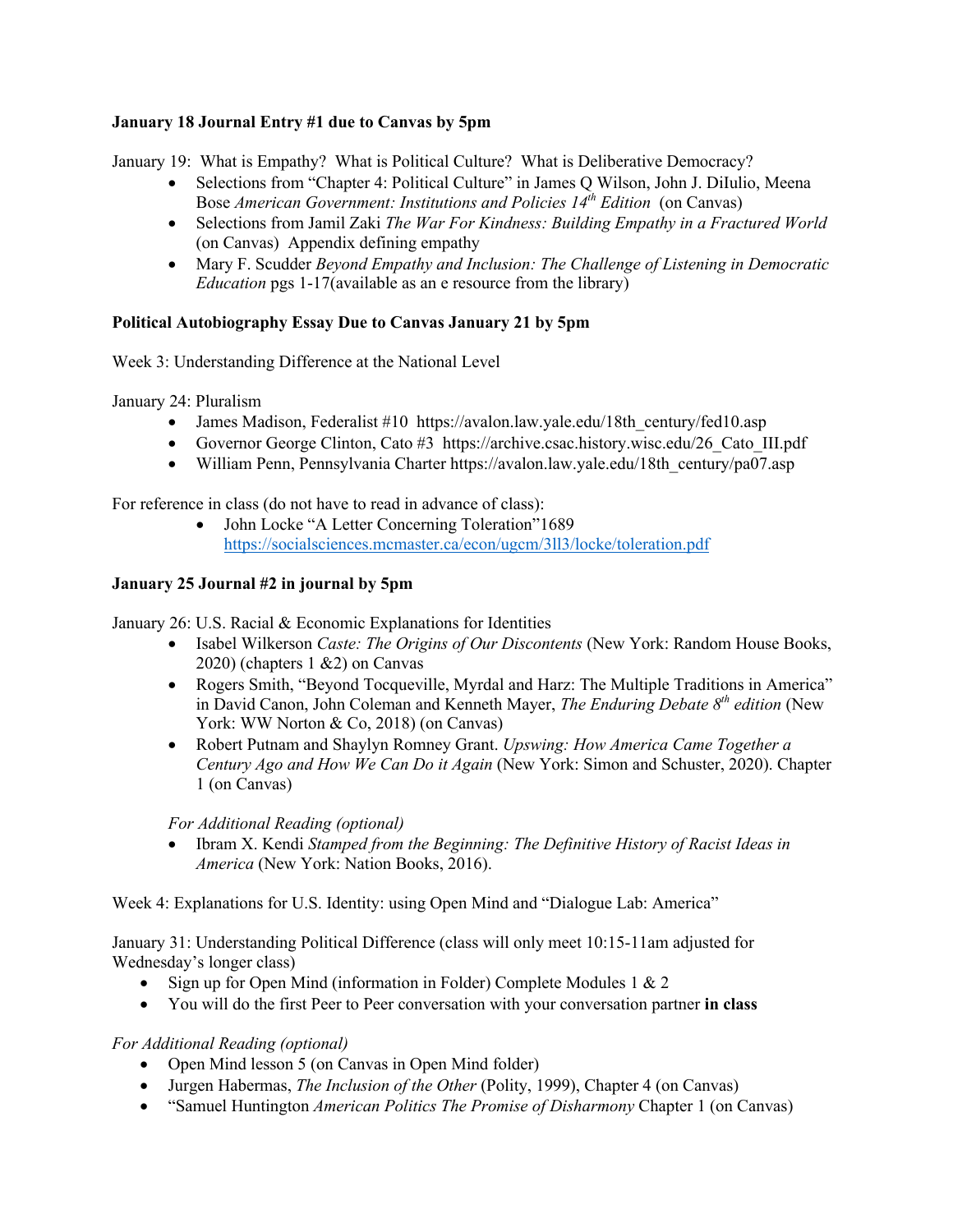# **January 18 Journal Entry #1 due to Canvas by 5pm**

January 19: What is Empathy? What is Political Culture? What is Deliberative Democracy?

- Selections from "Chapter 4: Political Culture" in James O Wilson, John J. DiIulio, Meena Bose *American Government: Institutions and Policies 14th Edition* (on Canvas)
- Selections from Jamil Zaki *The War For Kindness: Building Empathy in a Fractured World*  (on Canvas) Appendix defining empathy
- Mary F. Scudder *Beyond Empathy and Inclusion: The Challenge of Listening in Democratic Education* pgs 1-17(available as an e resource from the library)

## **Political Autobiography Essay Due to Canvas January 21 by 5pm**

Week 3: Understanding Difference at the National Level

January 24: Pluralism

- James Madison, Federalist #10 https://avalon.law.yale.edu/18th century/fed10.asp
- Governor George Clinton, Cato #3 https://archive.csac.history.wisc.edu/26 Cato III.pdf
- William Penn, Pennsylvania Charter https://avalon.law.yale.edu/18th\_century/pa07.asp

For reference in class (do not have to read in advance of class):

• John Locke "A Letter Concerning Toleration"1689 <https://socialsciences.mcmaster.ca/econ/ugcm/3ll3/locke/toleration.pdf>

## **January 25 Journal #2 in journal by 5pm**

January 26: U.S. Racial & Economic Explanations for Identities

- Isabel Wilkerson *Caste: The Origins of Our Discontents* (New York: Random House Books, 2020) (chapters 1 &2) on Canvas
- Rogers Smith, "Beyond Tocqueville, Myrdal and Harz: The Multiple Traditions in America" in David Canon, John Coleman and Kenneth Mayer, *The Enduring Debate 8th edition* (New York: WW Norton & Co, 2018) (on Canvas)
- Robert Putnam and Shaylyn Romney Grant. *Upswing: How America Came Together a Century Ago and How We Can Do it Again* (New York: Simon and Schuster, 2020). Chapter 1 (on Canvas)

*For Additional Reading (optional)* 

• Ibram X. Kendi *Stamped from the Beginning: The Definitive History of Racist Ideas in America* (New York: Nation Books, 2016).

Week 4: Explanations for U.S. Identity: using Open Mind and "Dialogue Lab: America"

January 31: Understanding Political Difference (class will only meet 10:15-11am adjusted for Wednesday's longer class)

- Sign up for Open Mind (information in Folder) Complete Modules 1 & 2
- You will do the first Peer to Peer conversation with your conversation partner **in class**

*For Additional Reading (optional)*

- Open Mind lesson 5 (on Canvas in Open Mind folder)
- Jurgen Habermas, *The Inclusion of the Other* (Polity, 1999), Chapter 4 (on Canvas)
- "Samuel Huntington *American Politics The Promise of Disharmony* Chapter 1 (on Canvas)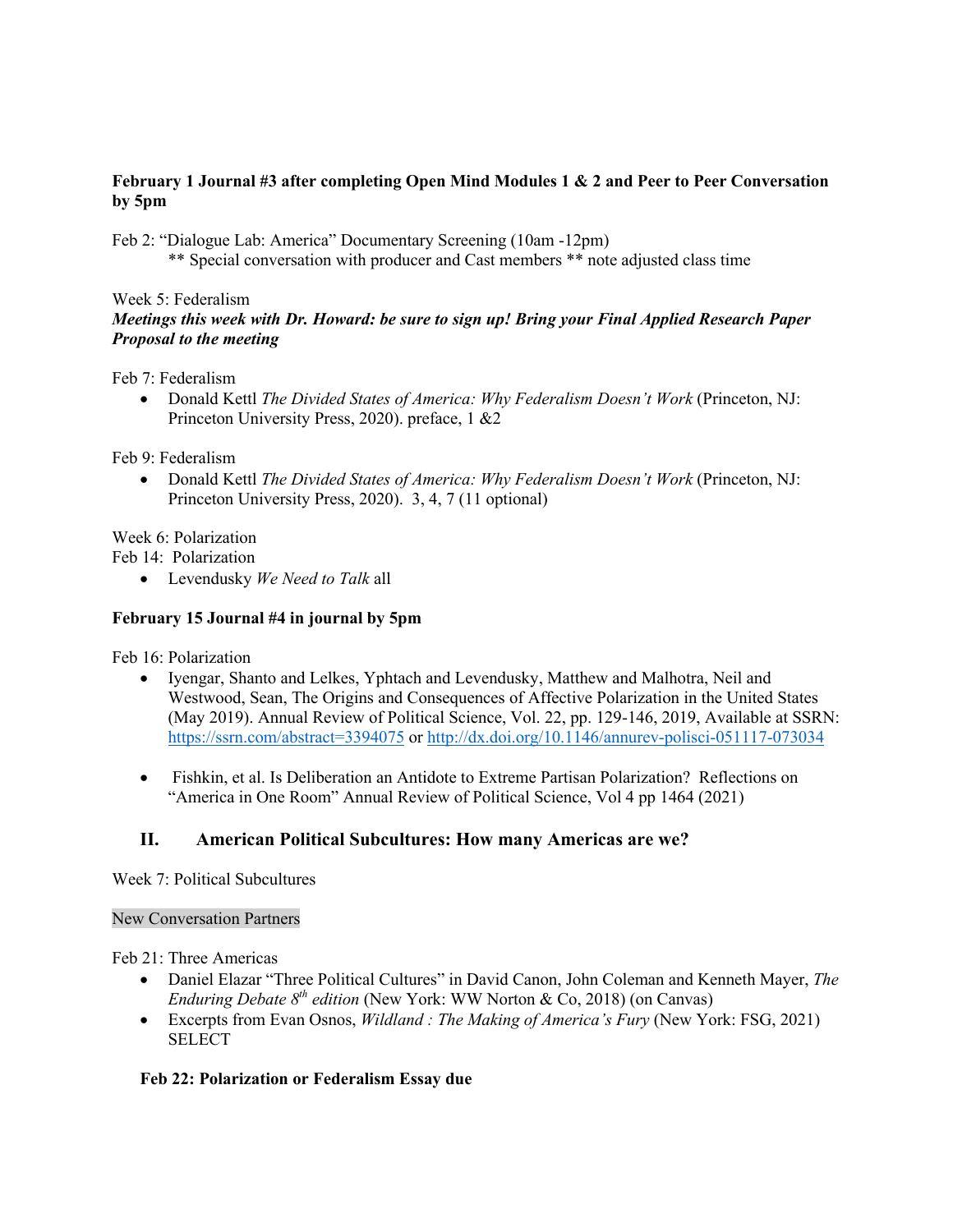# **February 1 Journal #3 after completing Open Mind Modules 1 & 2 and Peer to Peer Conversation by 5pm**

Feb 2: "Dialogue Lab: America" Documentary Screening (10am -12pm)

\*\* Special conversation with producer and Cast members \*\* note adjusted class time

Week 5: Federalism

# *Meetings this week with Dr. Howard: be sure to sign up! Bring your Final Applied Research Paper Proposal to the meeting*

Feb 7: Federalism

• Donald Kettl *The Divided States of America: Why Federalism Doesn't Work* (Princeton, NJ: Princeton University Press, 2020). preface, 1 &2

Feb 9: Federalism

• Donald Kettl *The Divided States of America: Why Federalism Doesn't Work* (Princeton, NJ: Princeton University Press, 2020). 3, 4, 7 (11 optional)

Week 6: Polarization

Feb 14: Polarization

• Levendusky *We Need to Talk* all

# **February 15 Journal #4 in journal by 5pm**

Feb 16: Polarization

- Iyengar, Shanto and Lelkes, Yphtach and Levendusky, Matthew and Malhotra, Neil and Westwood, Sean, The Origins and Consequences of Affective Polarization in the United States (May 2019). Annual Review of Political Science, Vol. 22, pp. 129-146, 2019, Available at SSRN: <https://ssrn.com/abstract=3394075> or [http://dx.doi.org/10.1146/annurev-polisci-051117-073034](https://dx.doi.org/10.1146/annurev-polisci-051117-073034)
- Fishkin, et al. Is Deliberation an Antidote to Extreme Partisan Polarization? Reflections on "America in One Room" Annual Review of Political Science, Vol 4 pp 1464 (2021)

# **II. American Political Subcultures: How many Americas are we?**

Week 7: Political Subcultures

# New Conversation Partners

Feb 21: Three Americas

- Daniel Elazar "Three Political Cultures" in David Canon, John Coleman and Kenneth Mayer, *The Enduring Debate 8<sup>th</sup> edition* (New York: WW Norton & Co, 2018) (on Canvas)
- Excerpts from Evan Osnos, *Wildland : The Making of America's Fury* (New York: FSG, 2021) **SELECT**

# **Feb 22: Polarization or Federalism Essay due**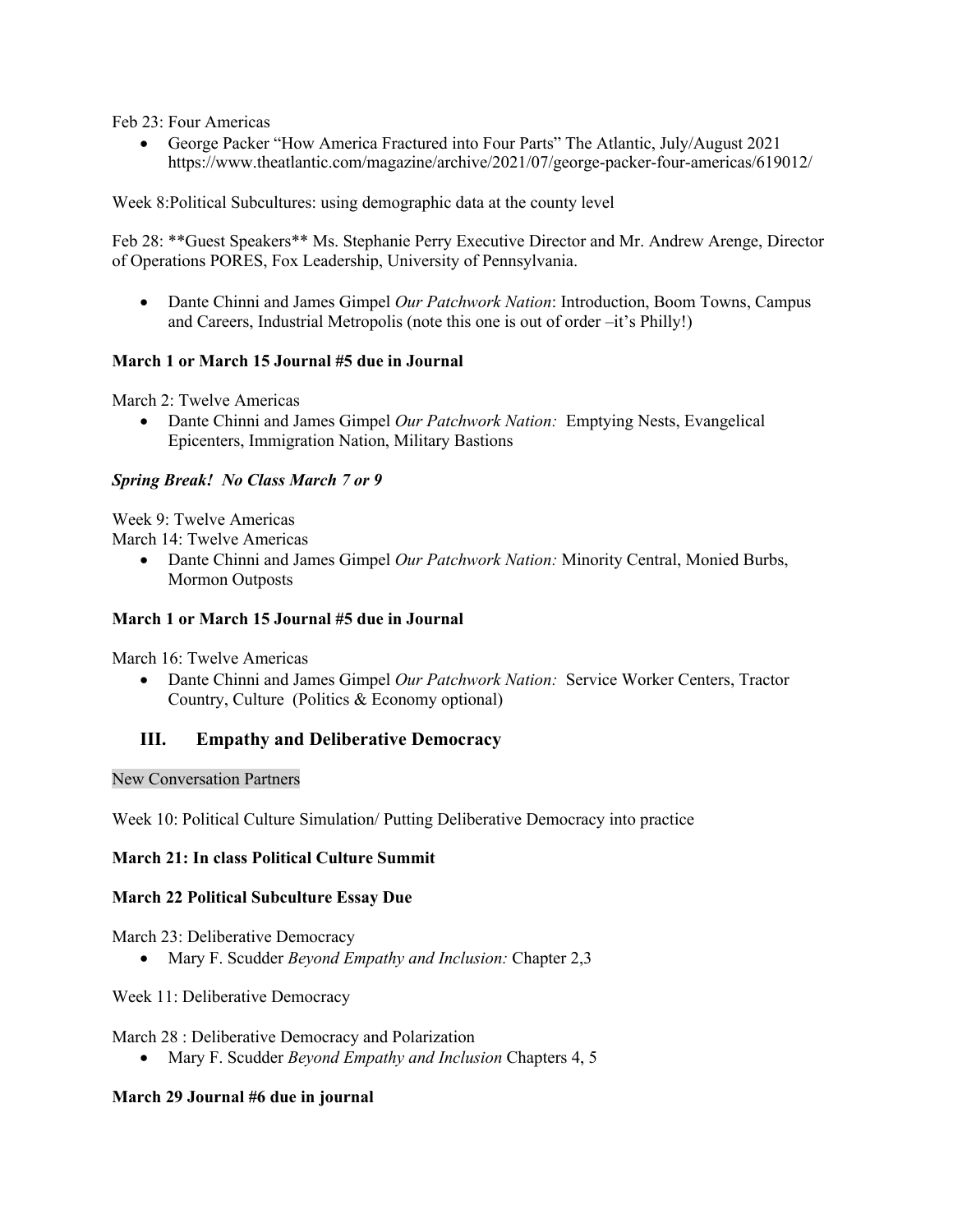Feb 23: Four Americas

• George Packer "How America Fractured into Four Parts" The Atlantic, July/August 2021 https://www.theatlantic.com/magazine/archive/2021/07/george-packer-four-americas/619012/

Week 8:Political Subcultures: using demographic data at the county level

Feb 28: \*\*Guest Speakers\*\* Ms. Stephanie Perry Executive Director and Mr. Andrew Arenge, Director of Operations PORES, Fox Leadership, University of Pennsylvania.

• Dante Chinni and James Gimpel *Our Patchwork Nation*: Introduction, Boom Towns, Campus and Careers, Industrial Metropolis (note this one is out of order –it's Philly!)

## **March 1 or March 15 Journal #5 due in Journal**

March 2: Twelve Americas

• Dante Chinni and James Gimpel *Our Patchwork Nation:* Emptying Nests, Evangelical Epicenters, Immigration Nation, Military Bastions

## *Spring Break! No Class March 7 or 9*

Week 9: Twelve Americas

March 14: Twelve Americas

• Dante Chinni and James Gimpel *Our Patchwork Nation:* Minority Central, Monied Burbs, Mormon Outposts

## **March 1 or March 15 Journal #5 due in Journal**

March 16: Twelve Americas

• Dante Chinni and James Gimpel *Our Patchwork Nation:* Service Worker Centers, Tractor Country, Culture (Politics & Economy optional)

# **III. Empathy and Deliberative Democracy**

## New Conversation Partners

Week 10: Political Culture Simulation/ Putting Deliberative Democracy into practice

## **March 21: In class Political Culture Summit**

## **March 22 Political Subculture Essay Due**

March 23: Deliberative Democracy

• Mary F. Scudder *Beyond Empathy and Inclusion:* Chapter 2,3

Week 11: Deliberative Democracy

March 28 : Deliberative Democracy and Polarization

• Mary F. Scudder *Beyond Empathy and Inclusion* Chapters 4, 5

## **March 29 Journal #6 due in journal**